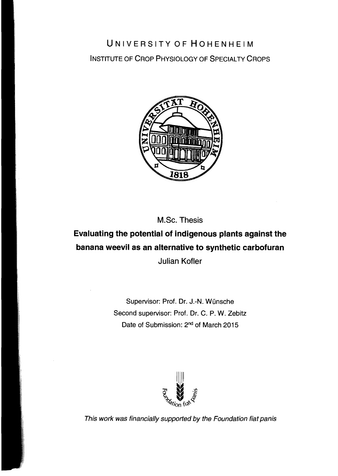## UNIVERSITY OF HOHENHEIM INSTITUTE OF CROP PHYSIOLOGY OF SPECIALTY CROPS



M.Sc. Thesis

## **Evaluating the potential of indigenous plants against the banana weevil as an alternative to synthetic carbofuran**  Julian Kofler

Supervisor: Prof. Dr. J.-N. Wünsche Second supervisor: Prof. Dr. C. P. W. Zebitz Date of Submission: 2<sup>nd</sup> of March 2015



This work was financially supported by the Foundation fiat panis